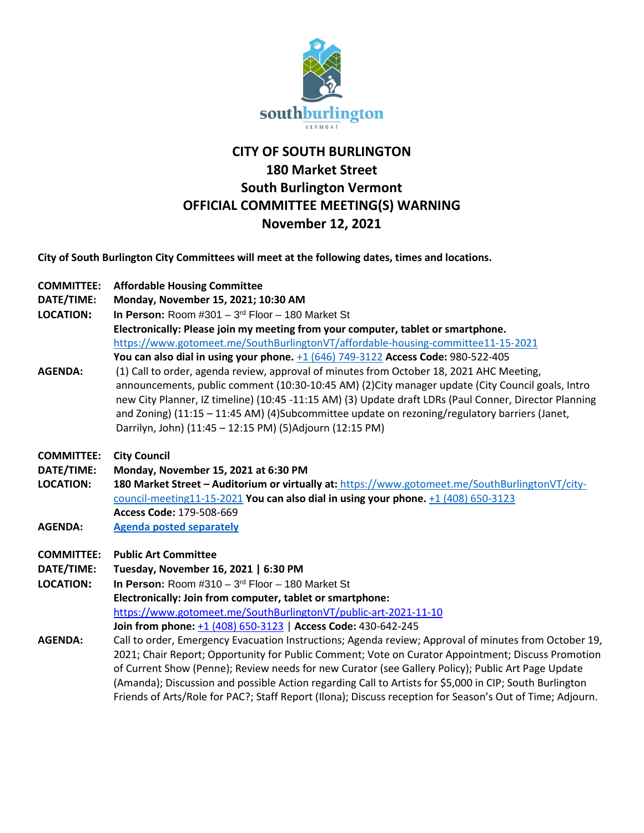

## **CITY OF SOUTH BURLINGTON 180 Market Street South Burlington Vermont OFFICIAL COMMITTEE MEETING(S) WARNING November 12, 2021**

**City of South Burlington City Committees will meet at the following dates, times and locations.** 

| <b>COMMITTEE:</b> | <b>Affordable Housing Committee</b> |
|-------------------|-------------------------------------|
|                   |                                     |

- **DATE/TIME: Monday, November 15, 2021; 10:30 AM**
- **LOCATION: In Person:** Room #301 3rd Floor 180 Market St

**Electronically: Please join my meeting from your computer, tablet or smartphone.** <https://www.gotomeet.me/SouthBurlingtonVT/affordable-housing-committee11-15-2021> **You can also dial in using your phone.** [+1 \(646\) 749-3122](tel:+16467493122,,980522405) **Access Code:** 980-522-405

- **AGENDA:** (1) Call to order, agenda review, approval of minutes from October 18, 2021 AHC Meeting, announcements, public comment (10:30-10:45 AM) (2)City manager update (City Council goals, Intro new City Planner, IZ timeline) (10:45 -11:15 AM) (3) Update draft LDRs (Paul Conner, Director Planning and Zoning) (11:15 – 11:45 AM) (4)Subcommittee update on rezoning/regulatory barriers (Janet, Darrilyn, John) (11:45 – 12:15 PM) (5)Adjourn (12:15 PM)
- **COMMITTEE: City Council**
- **DATE/TIME: Monday, November 15, 2021 at 6:30 PM**
- **LOCATION: 180 Market Street – Auditorium or virtually at:** [https://www.gotomeet.me/SouthBurlingtonVT/city](https://www.gotomeet.me/SouthBurlingtonVT/city-council-meeting11-15-2021)[council-meeting11-15-2021](https://www.gotomeet.me/SouthBurlingtonVT/city-council-meeting11-15-2021) **You can also dial in using your phone.** [+1 \(408\) 650-3123](tel:+14086503123,,179508669) **Access Code:** 179-508-669
- **AGENDA: [Agenda posted separately](https://sbvt-records.info/WebLink/DocView.aspx?id=262789&dbid=0&repo=SBurl)**
- **COMMITTEE: Public Art Committee**
- **DATE/TIME: Tuesday, November 16, 2021 | 6:30 PM**

**LOCATION: In Person:** Room #310 – 3rd Floor – 180 Market St **Electronically: Join from computer, tablet or smartphone:** <https://www.gotomeet.me/SouthBurlingtonVT/public-art-2021-11-10> **Join from phone:** [+1 \(408\) 650-3123](tel:+14086503123,,430642245) | **Access Code:** 430-642-245

**AGENDA:** Call to order, Emergency Evacuation Instructions; Agenda review; Approval of minutes from October 19, 2021; Chair Report; Opportunity for Public Comment; Vote on Curator Appointment; Discuss Promotion of Current Show (Penne); Review needs for new Curator (see Gallery Policy); Public Art Page Update (Amanda); Discussion and possible Action regarding Call to Artists for \$5,000 in CIP; South Burlington Friends of Arts/Role for PAC?; Staff Report (Ilona); Discuss reception for Season's Out of Time; Adjourn.